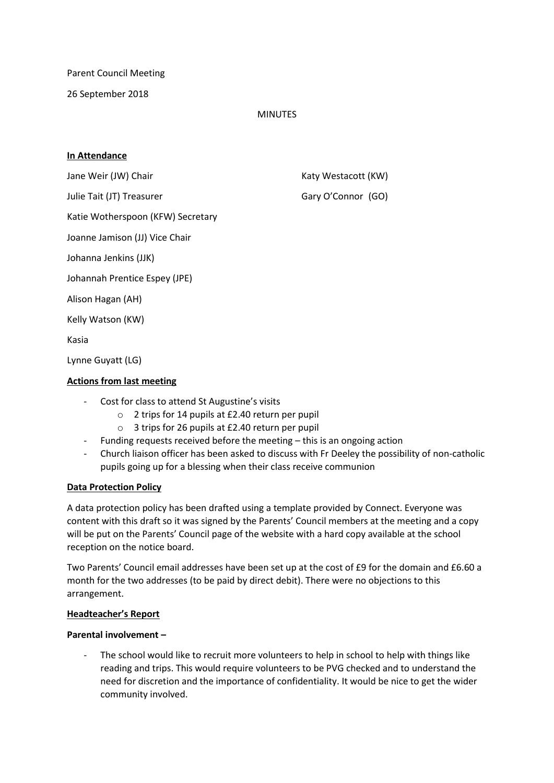Parent Council Meeting

26 September 2018

# MINUTES

## **In Attendance**

Julie Tait (JT) Treasurer Gary O'Connor (GO)

Jane Weir (JW) Chair **Katy Westacott** (KW)

Katie Wotherspoon (KFW) Secretary

Joanne Jamison (JJ) Vice Chair

Johanna Jenkins (JJK)

Johannah Prentice Espey (JPE)

Alison Hagan (AH)

Kelly Watson (KW)

Kasia

Lynne Guyatt (LG)

# **Actions from last meeting**

- Cost for class to attend St Augustine's visits
	- o 2 trips for 14 pupils at £2.40 return per pupil
	- o 3 trips for 26 pupils at £2.40 return per pupil
- Funding requests received before the meeting this is an ongoing action
- Church liaison officer has been asked to discuss with Fr Deeley the possibility of non-catholic pupils going up for a blessing when their class receive communion

### **Data Protection Policy**

A data protection policy has been drafted using a template provided by Connect. Everyone was content with this draft so it was signed by the Parents' Council members at the meeting and a copy will be put on the Parents' Council page of the website with a hard copy available at the school reception on the notice board.

Two Parents' Council email addresses have been set up at the cost of £9 for the domain and £6.60 a month for the two addresses (to be paid by direct debit). There were no objections to this arrangement.

### **Headteacher's Report**

### **Parental involvement –**

The school would like to recruit more volunteers to help in school to help with things like reading and trips. This would require volunteers to be PVG checked and to understand the need for discretion and the importance of confidentiality. It would be nice to get the wider community involved.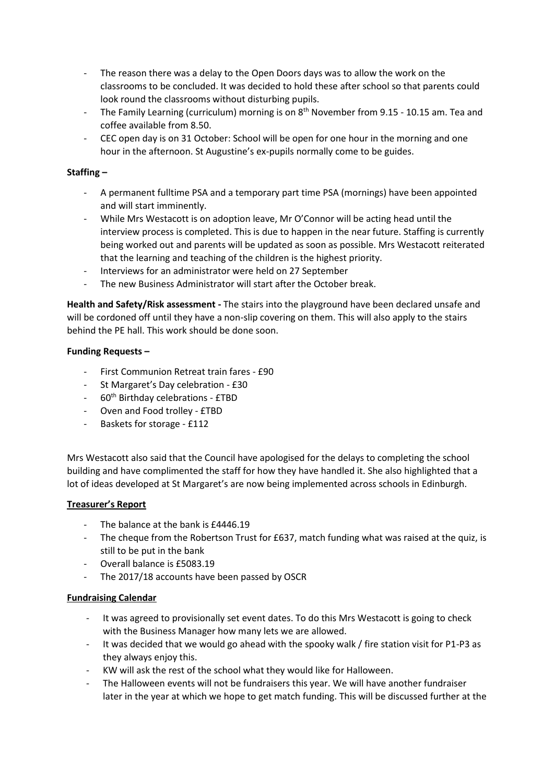- The reason there was a delay to the Open Doors days was to allow the work on the classrooms to be concluded. It was decided to hold these after school so that parents could look round the classrooms without disturbing pupils.
- The Family Learning (curriculum) morning is on 8<sup>th</sup> November from 9.15 10.15 am. Tea and coffee available from 8.50.
- CEC open day is on 31 October: School will be open for one hour in the morning and one hour in the afternoon. St Augustine's ex-pupils normally come to be guides.

# **Staffing –**

- A permanent fulltime PSA and a temporary part time PSA (mornings) have been appointed and will start imminently.
- While Mrs Westacott is on adoption leave, Mr O'Connor will be acting head until the interview process is completed. This is due to happen in the near future. Staffing is currently being worked out and parents will be updated as soon as possible. Mrs Westacott reiterated that the learning and teaching of the children is the highest priority.
- Interviews for an administrator were held on 27 September
- The new Business Administrator will start after the October break.

**Health and Safety/Risk assessment -** The stairs into the playground have been declared unsafe and will be cordoned off until they have a non-slip covering on them. This will also apply to the stairs behind the PE hall. This work should be done soon.

### **Funding Requests –**

- First Communion Retreat train fares £90
- St Margaret's Day celebration £30
- 60<sup>th</sup> Birthday celebrations £TBD
- Oven and Food trolley £TBD
- Baskets for storage £112

Mrs Westacott also said that the Council have apologised for the delays to completing the school building and have complimented the staff for how they have handled it. She also highlighted that a lot of ideas developed at St Margaret's are now being implemented across schools in Edinburgh.

## **Treasurer's Report**

- The balance at the bank is £4446.19
- The cheque from the Robertson Trust for £637, match funding what was raised at the quiz, is still to be put in the bank
- Overall balance is £5083.19
- The 2017/18 accounts have been passed by OSCR

### **Fundraising Calendar**

- It was agreed to provisionally set event dates. To do this Mrs Westacott is going to check with the Business Manager how many lets we are allowed.
- It was decided that we would go ahead with the spooky walk / fire station visit for P1-P3 as they always enjoy this.
- KW will ask the rest of the school what they would like for Halloween.
- The Halloween events will not be fundraisers this year. We will have another fundraiser later in the year at which we hope to get match funding. This will be discussed further at the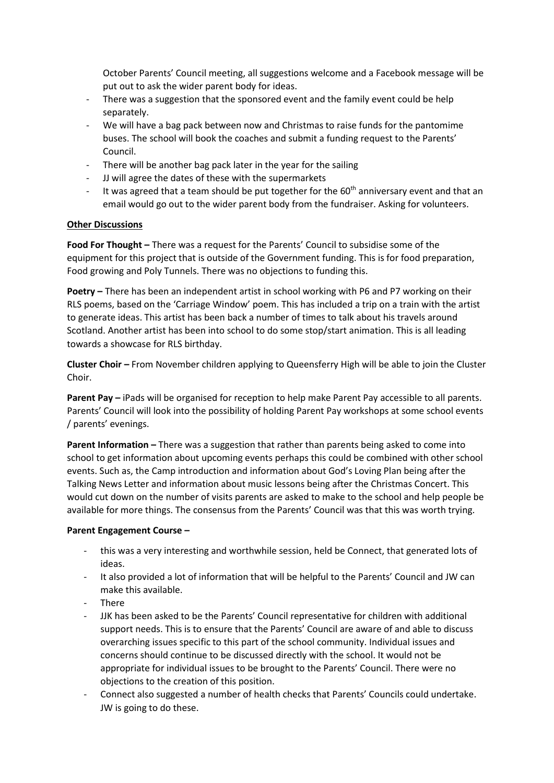October Parents' Council meeting, all suggestions welcome and a Facebook message will be put out to ask the wider parent body for ideas.

- There was a suggestion that the sponsored event and the family event could be help separately.
- We will have a bag pack between now and Christmas to raise funds for the pantomime buses. The school will book the coaches and submit a funding request to the Parents' Council.
- There will be another bag pack later in the year for the sailing
- JJ will agree the dates of these with the supermarkets
- It was agreed that a team should be put together for the  $60<sup>th</sup>$  anniversary event and that an email would go out to the wider parent body from the fundraiser. Asking for volunteers.

# **Other Discussions**

**Food For Thought –** There was a request for the Parents' Council to subsidise some of the equipment for this project that is outside of the Government funding. This is for food preparation, Food growing and Poly Tunnels. There was no objections to funding this.

**Poetry –** There has been an independent artist in school working with P6 and P7 working on their RLS poems, based on the 'Carriage Window' poem. This has included a trip on a train with the artist to generate ideas. This artist has been back a number of times to talk about his travels around Scotland. Another artist has been into school to do some stop/start animation. This is all leading towards a showcase for RLS birthday.

**Cluster Choir –** From November children applying to Queensferry High will be able to join the Cluster Choir.

**Parent Pay –** iPads will be organised for reception to help make Parent Pay accessible to all parents. Parents' Council will look into the possibility of holding Parent Pay workshops at some school events / parents' evenings.

**Parent Information –** There was a suggestion that rather than parents being asked to come into school to get information about upcoming events perhaps this could be combined with other school events. Such as, the Camp introduction and information about God's Loving Plan being after the Talking News Letter and information about music lessons being after the Christmas Concert. This would cut down on the number of visits parents are asked to make to the school and help people be available for more things. The consensus from the Parents' Council was that this was worth trying.

### **Parent Engagement Course –**

- this was a very interesting and worthwhile session, held be Connect, that generated lots of ideas.
- It also provided a lot of information that will be helpful to the Parents' Council and JW can make this available.
- There
- JJK has been asked to be the Parents' Council representative for children with additional support needs. This is to ensure that the Parents' Council are aware of and able to discuss overarching issues specific to this part of the school community. Individual issues and concerns should continue to be discussed directly with the school. It would not be appropriate for individual issues to be brought to the Parents' Council. There were no objections to the creation of this position.
- Connect also suggested a number of health checks that Parents' Councils could undertake. JW is going to do these.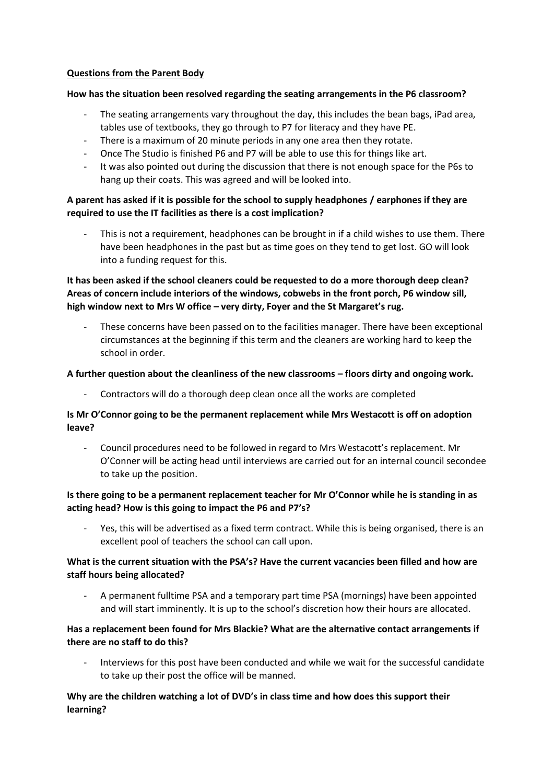## **Questions from the Parent Body**

## **How has the situation been resolved regarding the seating arrangements in the P6 classroom?**

- The seating arrangements vary throughout the day, this includes the bean bags, iPad area, tables use of textbooks, they go through to P7 for literacy and they have PE.
- There is a maximum of 20 minute periods in any one area then they rotate.
- Once The Studio is finished P6 and P7 will be able to use this for things like art.
- It was also pointed out during the discussion that there is not enough space for the P6s to hang up their coats. This was agreed and will be looked into.

# **A parent has asked if it is possible for the school to supply headphones / earphones if they are required to use the IT facilities as there is a cost implication?**

This is not a requirement, headphones can be brought in if a child wishes to use them. There have been headphones in the past but as time goes on they tend to get lost. GO will look into a funding request for this.

**It has been asked if the school cleaners could be requested to do a more thorough deep clean? Areas of concern include interiors of the windows, cobwebs in the front porch, P6 window sill, high window next to Mrs W office – very dirty, Foyer and the St Margaret's rug.** 

These concerns have been passed on to the facilities manager. There have been exceptional circumstances at the beginning if this term and the cleaners are working hard to keep the school in order.

## **A further question about the cleanliness of the new classrooms – floors dirty and ongoing work.**

- Contractors will do a thorough deep clean once all the works are completed

# **Is Mr O'Connor going to be the permanent replacement while Mrs Westacott is off on adoption leave?**

- Council procedures need to be followed in regard to Mrs Westacott's replacement. Mr O'Conner will be acting head until interviews are carried out for an internal council secondee to take up the position.

# **Is there going to be a permanent replacement teacher for Mr O'Connor while he is standing in as acting head? How is this going to impact the P6 and P7's?**

Yes, this will be advertised as a fixed term contract. While this is being organised, there is an excellent pool of teachers the school can call upon.

# **What is the current situation with the PSA's? Have the current vacancies been filled and how are staff hours being allocated?**

- A permanent fulltime PSA and a temporary part time PSA (mornings) have been appointed and will start imminently. It is up to the school's discretion how their hours are allocated.

# **Has a replacement been found for Mrs Blackie? What are the alternative contact arrangements if there are no staff to do this?**

- Interviews for this post have been conducted and while we wait for the successful candidate to take up their post the office will be manned.

# **Why are the children watching a lot of DVD's in class time and how does this support their learning?**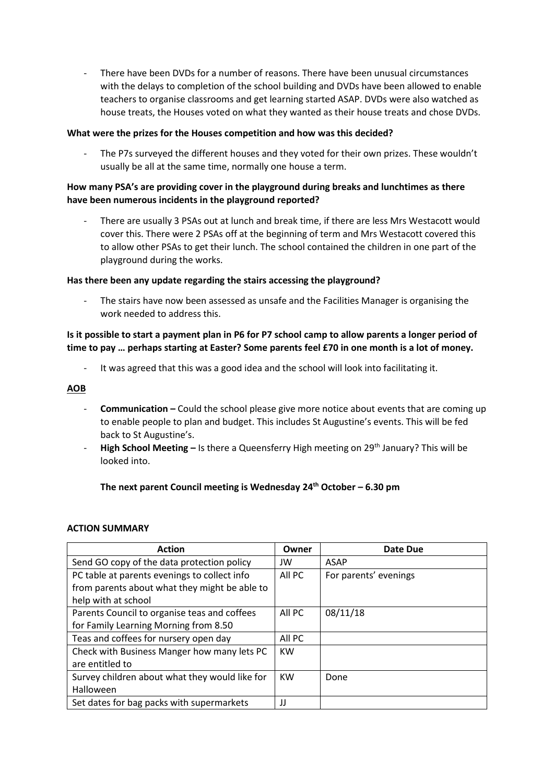- There have been DVDs for a number of reasons. There have been unusual circumstances with the delays to completion of the school building and DVDs have been allowed to enable teachers to organise classrooms and get learning started ASAP. DVDs were also watched as house treats, the Houses voted on what they wanted as their house treats and chose DVDs.

## **What were the prizes for the Houses competition and how was this decided?**

The P7s surveyed the different houses and they voted for their own prizes. These wouldn't usually be all at the same time, normally one house a term.

# **How many PSA's are providing cover in the playground during breaks and lunchtimes as there have been numerous incidents in the playground reported?**

- There are usually 3 PSAs out at lunch and break time, if there are less Mrs Westacott would cover this. There were 2 PSAs off at the beginning of term and Mrs Westacott covered this to allow other PSAs to get their lunch. The school contained the children in one part of the playground during the works.

### **Has there been any update regarding the stairs accessing the playground?**

The stairs have now been assessed as unsafe and the Facilities Manager is organising the work needed to address this.

# **Is it possible to start a payment plan in P6 for P7 school camp to allow parents a longer period of time to pay … perhaps starting at Easter? Some parents feel £70 in one month is a lot of money.**

It was agreed that this was a good idea and the school will look into facilitating it.

## **AOB**

- **Communication –** Could the school please give more notice about events that are coming up to enable people to plan and budget. This includes St Augustine's events. This will be fed back to St Augustine's.
- High School Meeting Is there a Queensferry High meeting on 29<sup>th</sup> January? This will be looked into.

**The next parent Council meeting is Wednesday 24th October – 6.30 pm**

### **ACTION SUMMARY**

| <b>Action</b>                                  | Owner     | Date Due              |
|------------------------------------------------|-----------|-----------------------|
| Send GO copy of the data protection policy     | JW        | ASAP                  |
| PC table at parents evenings to collect info   | All PC    | For parents' evenings |
| from parents about what they might be able to  |           |                       |
| help with at school                            |           |                       |
| Parents Council to organise teas and coffees   | All PC    | 08/11/18              |
| for Family Learning Morning from 8.50          |           |                       |
| Teas and coffees for nursery open day          | All PC    |                       |
| Check with Business Manger how many lets PC    | <b>KW</b> |                       |
| are entitled to                                |           |                       |
| Survey children about what they would like for | <b>KW</b> | Done                  |
| Halloween                                      |           |                       |
| Set dates for bag packs with supermarkets      | IJ        |                       |